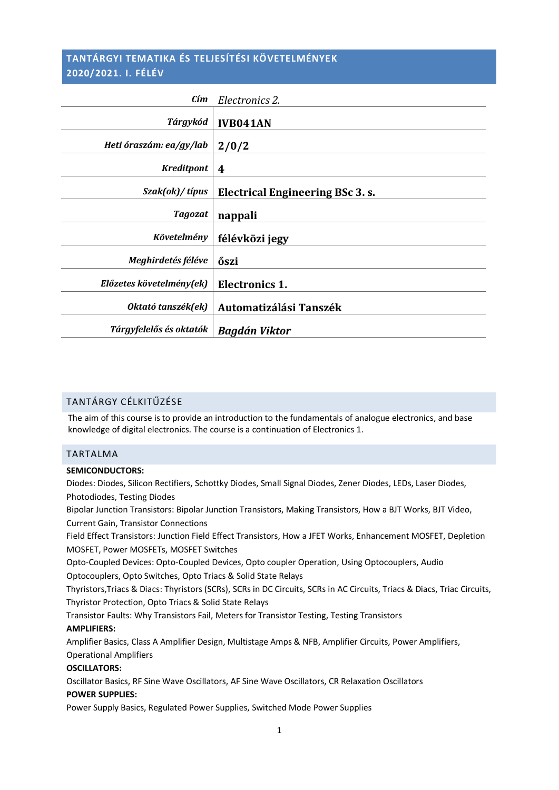## **TANTÁRGYI TEMATIKA ÉS TELJESÍTÉSI KÖVETELMÉNYEK 2020/2021. I. FÉLÉV**

| Cím                      | Electronics 2.                   |
|--------------------------|----------------------------------|
| Tárgykód                 | <b>IVB041AN</b>                  |
| Heti óraszám: ea/gy/lab  | 2/0/2                            |
| <b>Kreditpont</b>        | 4                                |
| Szak(ok)/típus           | Electrical Engineering BSc 3. s. |
| <b>Tagozat</b>           | nappali                          |
| Követelmény              | félévközi jegy                   |
| Meghirdetés féléve       | őszi                             |
| Előzetes követelmény(ek) | Electronics 1.                   |
| Oktató tanszék(ek)       | Automatizálási Tanszék           |
| Tárgyfelelős és oktatók  | <b>Bagdán Viktor</b>             |

#### TANTÁRGY CÉLKITŰZÉSE

The aim of this course is to provide an introduction to the fundamentals of analogue electronics, and base knowledge of digital electronics. The course is a continuation of Electronics 1.

## TARTALMA

#### **SEMICONDUCTORS:**

Diodes: Diodes, Silicon Rectifiers, Schottky Diodes, Small Signal Diodes, Zener Diodes, LEDs, Laser Diodes, Photodiodes, Testing Diodes

Bipolar Junction Transistors: Bipolar Junction Transistors, Making Transistors, How a BJT Works, BJT Video, Current Gain, Transistor Connections

Field Effect Transistors: Junction Field Effect Transistors, How a JFET Works, Enhancement MOSFET, Depletion MOSFET, Power MOSFETs, MOSFET Switches

Opto-Coupled Devices: Opto-Coupled Devices, Opto coupler Operation, Using Optocouplers, Audio Optocouplers, Opto Switches, Opto Triacs & Solid State Relays

Thyristors,Triacs & Diacs: Thyristors (SCRs), SCRs in DC Circuits, SCRs in AC Circuits, Triacs & Diacs, Triac Circuits, Thyristor Protection, Opto Triacs & Solid State Relays

Transistor Faults: Why Transistors Fail, Meters for Transistor Testing, Testing Transistors

#### **AMPLIFIERS:**

Amplifier Basics, Class A Amplifier Design, Multistage Amps & NFB, Amplifier Circuits, Power Amplifiers, Operational Amplifiers

#### **OSCILLATORS:**

Oscillator Basics, RF Sine Wave Oscillators, AF Sine Wave Oscillators, CR Relaxation Oscillators **POWER SUPPLIES:**

Power Supply Basics, Regulated Power Supplies, Switched Mode Power Supplies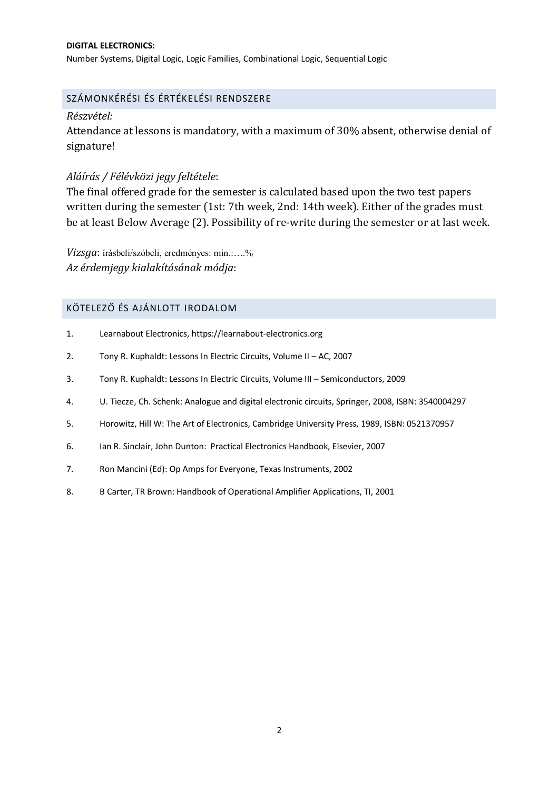#### **DIGITAL ELECTRONICS:**

Number Systems, Digital Logic, Logic Families, Combinational Logic, Sequential Logic

## SZÁMONKÉRÉSI ÉS ÉRTÉKELÉSI RENDSZERE

## *Részvétel:*

Attendance at lessons is mandatory, with a maximum of 30% absent, otherwise denial of signature!

## *Aláírás / Félévközi jegy feltétele*:

The final offered grade for the semester is calculated based upon the two test papers written during the semester (1st: 7th week, 2nd: 14th week). Either of the grades must be at least Below Average (2). Possibility of re-write during the semester or at last week.

*Vizsga*: írásbeli/szóbeli, eredményes: min.:….% *Az érdemjegy kialakításának módja*:

## KÖTELEZŐ ÉS AJÁNLOTT IRODALOM

- 1. Learnabout Electronics, https://learnabout-electronics.org
- 2. Tony R. Kuphaldt: Lessons In Electric Circuits, Volume II AC, 2007
- 3. Tony R. Kuphaldt: Lessons In Electric Circuits, Volume III Semiconductors, 2009
- 4. U. Tiecze, Ch. Schenk: Analogue and digital electronic circuits, Springer, 2008, ISBN: 3540004297
- 5. Horowitz, Hill W: The Art of Electronics, Cambridge University Press, 1989, ISBN: 0521370957
- 6. Ian R. Sinclair, John Dunton: Practical Electronics Handbook, Elsevier, 2007
- 7. Ron Mancini (Ed): Op Amps for Everyone, Texas Instruments, 2002
- 8. B Carter, TR Brown: Handbook of Operational Amplifier Applications, TI, 2001